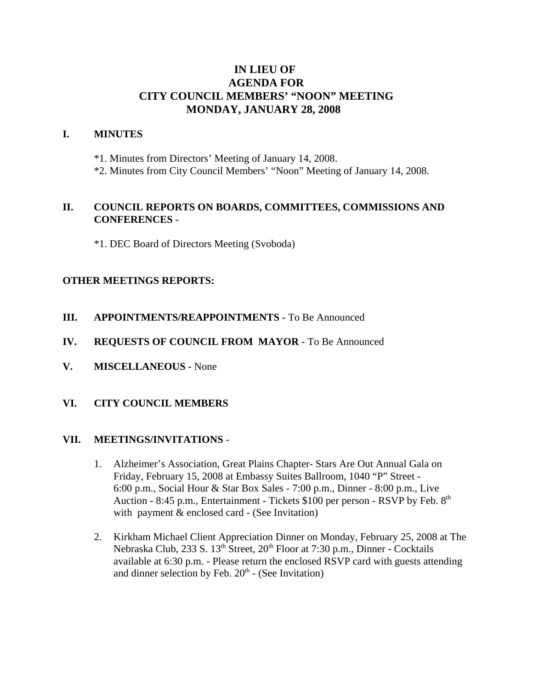# **IN LIEU OF AGENDA FOR CITY COUNCIL MEMBERS' "NOON" MEETING MONDAY, JANUARY 28, 2008**

#### **I. MINUTES**

\*1. Minutes from Directors' Meeting of January 14, 2008.

\*2. Minutes from City Council Members' "Noon" Meeting of January 14, 2008.

### **II. COUNCIL REPORTS ON BOARDS, COMMITTEES, COMMISSIONS AND CONFERENCES** -

\*1. DEC Board of Directors Meeting (Svoboda)

### **OTHER MEETINGS REPORTS:**

- **III.** APPOINTMENTS/REAPPOINTMENTS To Be Announced
- **IV. REQUESTS OF COUNCIL FROM MAYOR -** To Be Announced
- **V. MISCELLANEOUS -** None
- **VI. CITY COUNCIL MEMBERS**

#### **VII. MEETINGS/INVITATIONS** -

- 1. Alzheimer's Association, Great Plains Chapter- Stars Are Out Annual Gala on Friday, February 15, 2008 at Embassy Suites Ballroom, 1040 "P" Street - 6:00 p.m., Social Hour & Star Box Sales - 7:00 p.m., Dinner - 8:00 p.m., Live Auction - 8:45 p.m., Entertainment - Tickets  $$100$  per person - RSVP by Feb.  $8<sup>th</sup>$ with payment & enclosed card - (See Invitation)
- 2. Kirkham Michael Client Appreciation Dinner on Monday, February 25, 2008 at The Nebraska Club, 233 S. 13<sup>th</sup> Street, 20<sup>th</sup> Floor at 7:30 p.m., Dinner - Cocktails available at 6:30 p.m. - Please return the enclosed RSVP card with guests attending and dinner selection by Feb.  $20<sup>th</sup>$  - (See Invitation)